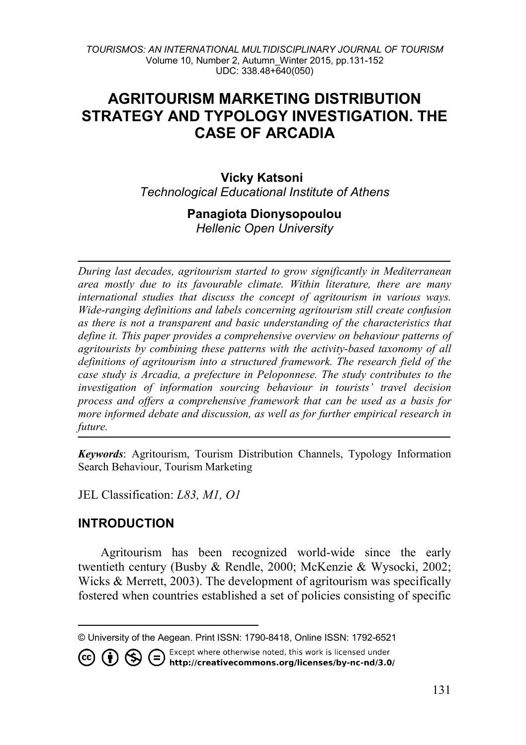# **AGRITOURISM MARKETING DISTRIBUTION STRATEGY AND TYPOLOGY INVESTIGATION. THE CASE OF ARCADIA**

**Vicky Katsoni** *Technological Educational Institute of Athens*

## **Panagiota Dionysopoulou**

*Hellenic Open University*

*During last decades, agritourism started to grow significantly in Mediterranean area mostly due to its favourable climate. Within literature, there are many international studies that discuss the concept of agritourism in various ways. Wide-ranging definitions and labels concerning agritourism still create confusion as there is not a transparent and basic understanding of the characteristics that define it. This paper provides a comprehensive overview on behaviour patterns of agritourists by combining these patterns with the activity-based taxonomy of all definitions of agritourism into a structured framework. The research field of the case study is Arcadia, a prefecture in Peloponnese. The study contributes to the investigation of information sourcing behaviour in tourists' travel decision process and offers a comprehensive framework that can be used as a basis for more informed debate and discussion, as well as for further empirical research in future.*

*Keywords*: Agritourism, Tourism Distribution Channels, Typology Information Search Behaviour, Tourism Marketing

JEL Classification: *L83, M1, O1*

### **INTRODUCTION**

Agritourism has been recognized world-wide since the early twentieth century (Busby & Rendle, 2000; McKenzie & Wysocki, 2002; Wicks & Merrett, 2003). The development of agritourism was specifically fostered when countries established a set of policies consisting of specific

Except where otherwise noted, this work is licensed under ∈) 75 http://creativecommons.org/licenses/by-nc-nd/3.0/

<span id="page-0-0"></span> $\overline{a}$ © University of the Aegean. Print ISSN: 1790-8418, Online ISSN: 1792-6521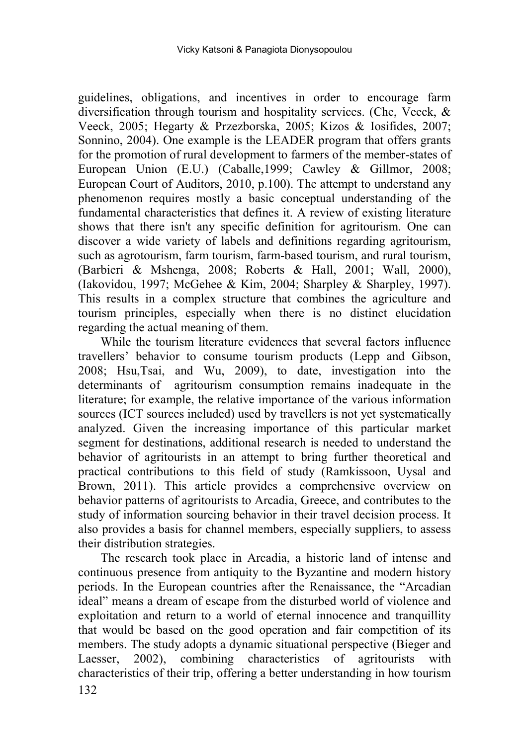guidelines, obligations, and incentives in order to encourage farm diversification through tourism and hospitality services. (Che, Veeck, & Veeck, 2005; Hegarty & Przezborska, 2005; Kizos & Iosifides, 2007; Sonnino, 2004). One example is the LEADER program that offers grants for the promotion of rural development to farmers of the member-states of European Union (E.U.) (Caballe,1999; Cawley & Gillmor, 2008; European Court of Auditors, 2010, p.100). The attempt to understand any phenomenon requires mostly a basic conceptual understanding of the fundamental characteristics that defines it. A review of existing literature shows that there isn't any specific definition for agritourism. One can discover a wide variety of labels and definitions regarding agritourism, such as agrotourism, farm tourism, farm-based tourism, and rural tourism, (Barbieri & Mshenga, 2008; Roberts & Hall, 2001; Wall, 2000), (Iakovidou, 1997; McGehee & Kim, 2004; Sharpley & Sharpley, 1997). This results in a complex structure that combines the agriculture and tourism principles, especially when there is no distinct elucidation regarding the actual meaning of them.

While the tourism literature evidences that several factors influence travellers' behavior to consume tourism products (Lepp and Gibson, 2008; Hsu,Tsai, and Wu, 2009), to date, investigation into the determinants of agritourism consumption remains inadequate in the literature; for example, the relative importance of the various information sources (ICT sources included) used by travellers is not yet systematically analyzed. Given the increasing importance of this particular market segment for destinations, additional research is needed to understand the behavior of agritourists in an attempt to bring further theoretical and practical contributions to this field of study (Ramkissoon, Uysal and Brown, 2011). This article provides a comprehensive overview on behavior patterns of agritourists to Arcadia, Greece, and contributes to the study of information sourcing behavior in their travel decision process. It also provides a basis for channel members, especially suppliers, to assess their distribution strategies.

The research took place in Arcadia, a historic land of intense and continuous presence from antiquity to the Byzantine and modern history periods. In the European countries after the Renaissance, the "Arcadian ideal" means a dream of escape from the disturbed world of violence and exploitation and return to a world of eternal innocence and tranquillity that would be based on the good operation and fair competition of its members. The study adopts a dynamic situational perspective (Bieger and Laesser, 2002), combining characteristics of agritourists with characteristics of their trip, offering a better understanding in how tourism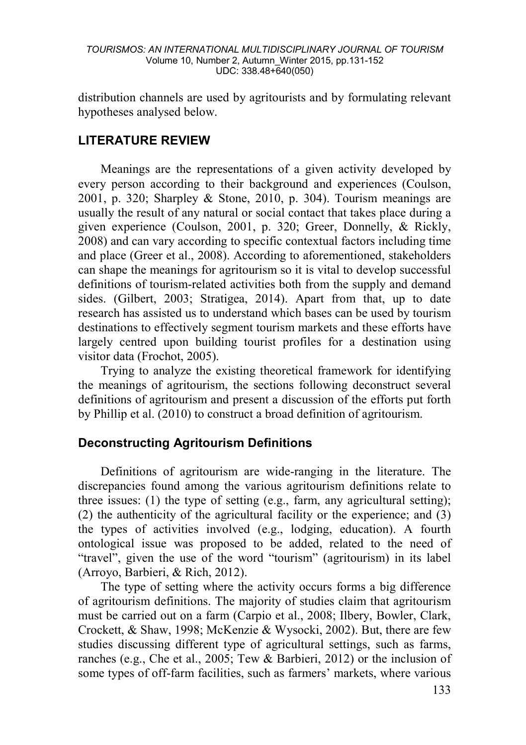distribution channels are used by agritourists and by formulating relevant hypotheses analysed below.

### **LITERATURE REVIEW**

Meanings are the representations of a given activity developed by every person according to their background and experiences (Coulson, 2001, p. 320; Sharpley & Stone, 2010, p. 304). Tourism meanings are usually the result of any natural or social contact that takes place during a given experience (Coulson, 2001, p. 320; Greer, Donnelly, & Rickly, 2008) and can vary according to specific contextual factors including time and place (Greer et al., 2008). According to aforementioned, stakeholders can shape the meanings for agritourism so it is vital to develop successful definitions of tourism-related activities both from the supply and demand sides. (Gilbert, 2003; Stratigea, 2014). Apart from that, up to date research has assisted us to understand which bases can be used by tourism destinations to effectively segment tourism markets and these efforts have largely centred upon building tourist profiles for a destination using visitor data (Frochot, 2005).

Trying to analyze the existing theoretical framework for identifying the meanings of agritourism, the sections following deconstruct several definitions of agritourism and present a discussion of the efforts put forth by Phillip et al. (2010) to construct a broad definition of agritourism.

### **Deconstructing Agritourism Definitions**

Definitions of agritourism are wide-ranging in the literature. The discrepancies found among the various agritourism definitions relate to three issues: (1) the type of setting (e.g., farm, any agricultural setting); (2) the authenticity of the agricultural facility or the experience; and (3) the types of activities involved (e.g., lodging, education). A fourth ontological issue was proposed to be added, related to the need of "travel", given the use of the word "tourism" (agritourism) in its label (Arroyo, Barbieri, & Rich, 2012).

The type of setting where the activity occurs forms a big difference of agritourism definitions. The majority of studies claim that agritourism must be carried out on a farm (Carpio et al., 2008; Ilbery, Bowler, Clark, Crockett, & Shaw, 1998; McKenzie & Wysocki, 2002). But, there are few studies discussing different type of agricultural settings, such as farms, ranches (e.g., Che et al., 2005; Tew & Barbieri, 2012) or the inclusion of some types of off-farm facilities, such as farmers' markets, where various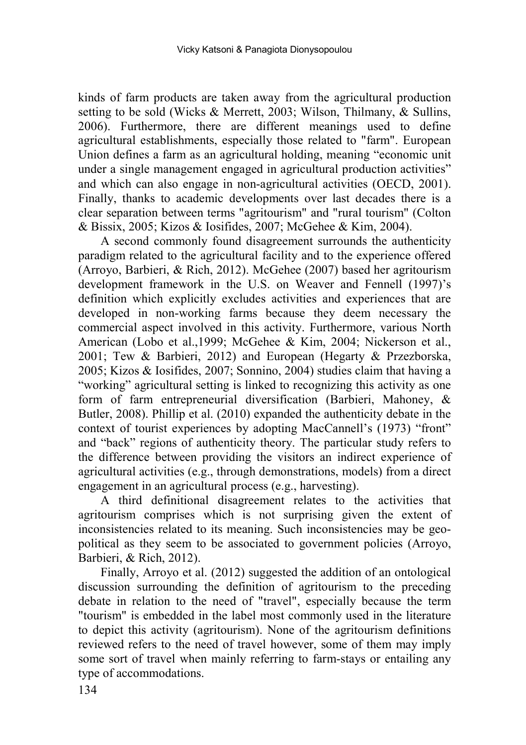kinds of farm products are taken away from the agricultural production setting to be sold (Wicks & Merrett, 2003; Wilson, Thilmany, & Sullins, 2006). Furthermore, there are different meanings used to define agricultural establishments, especially those related to "farm". European Union defines a farm as an agricultural holding, meaning "economic unit under a single management engaged in agricultural production activities" and which can also engage in non-agricultural activities (OECD, 2001). Finally, thanks to academic developments over last decades there is a clear separation between terms "agritourism" and "rural tourism" (Colton & Bissix, 2005; Kizos & Iosifides, 2007; McGehee & Kim, 2004).

A second commonly found disagreement surrounds the authenticity paradigm related to the agricultural facility and to the experience offered (Arroyo, Barbieri, & Rich, 2012). McGehee (2007) based her agritourism development framework in the U.S. on Weaver and Fennell (1997)'s definition which explicitly excludes activities and experiences that are developed in non-working farms because they deem necessary the commercial aspect involved in this activity. Furthermore, various North American (Lobo et al.,1999; McGehee & Kim, 2004; Nickerson et al., 2001; Tew & Barbieri, 2012) and European (Hegarty & Przezborska, 2005; Kizos & Iosifides, 2007; Sonnino, 2004) studies claim that having a "working" agricultural setting is linked to recognizing this activity as one form of farm entrepreneurial diversification (Barbieri, Mahoney, & Butler, 2008). Phillip et al. (2010) expanded the authenticity debate in the context of tourist experiences by adopting MacCannell's (1973) "front" and "back" regions of authenticity theory. The particular study refers to the difference between providing the visitors an indirect experience of agricultural activities (e.g., through demonstrations, models) from a direct engagement in an agricultural process (e.g., harvesting).

A third definitional disagreement relates to the activities that agritourism comprises which is not surprising given the extent of inconsistencies related to its meaning. Such inconsistencies may be geopolitical as they seem to be associated to government policies (Arroyo, Barbieri, & Rich, 2012).

Finally, Arroyo et al. (2012) suggested the addition of an ontological discussion surrounding the definition of agritourism to the preceding debate in relation to the need of "travel", especially because the term "tourism" is embedded in the label most commonly used in the literature to depict this activity (agritourism). None of the agritourism definitions reviewed refers to the need of travel however, some of them may imply some sort of travel when mainly referring to farm-stays or entailing any type of accommodations.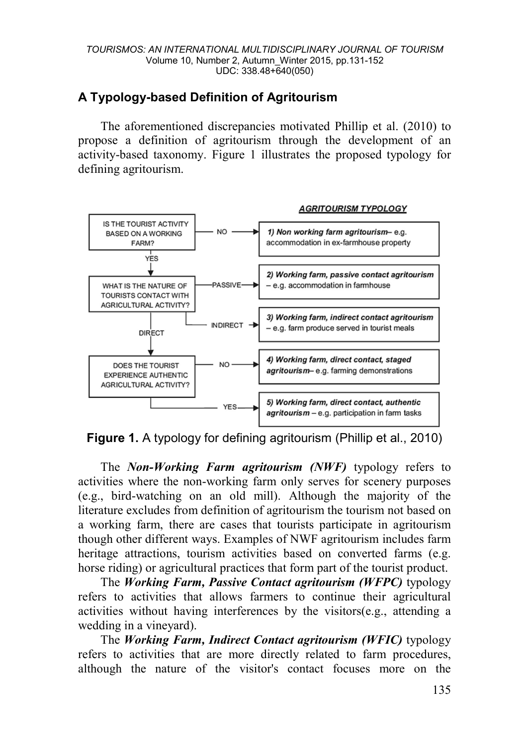## **A Typology-based Definition of Agritourism**

The aforementioned discrepancies motivated Phillip et al. (2010) to propose a definition of agritourism through the development of an activity-based taxonomy. Figure 1 illustrates the proposed typology for defining agritourism.





The *Non-Working Farm agritourism (NWF)* typology refers to activities where the non-working farm only serves for scenery purposes (e.g., bird-watching on an old mill). Although the majority of the literature excludes from definition of agritourism the tourism not based on a working farm, there are cases that tourists participate in agritourism though other different ways. Examples of NWF agritourism includes farm heritage attractions, tourism activities based on converted farms (e.g. horse riding) or agricultural practices that form part of the tourist product.

The *Working Farm, Passive Contact agritourism (WFPC)* typology refers to activities that allows farmers to continue their agricultural activities without having interferences by the visitors(e.g., attending a wedding in a vineyard).

The *Working Farm, Indirect Contact agritourism (WFIC)* typology refers to activities that are more directly related to farm procedures, although the nature of the visitor's contact focuses more on the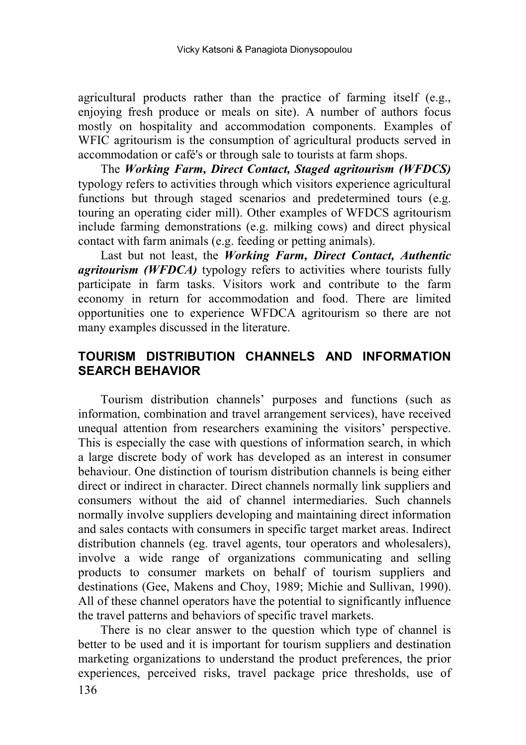agricultural products rather than the practice of farming itself (e.g., enjoying fresh produce or meals on site). A number of authors focus mostly on hospitality and accommodation components. Examples of WFIC agritourism is the consumption of agricultural products served in accommodation or café's or through sale to tourists at farm shops.

The *Working Farm, Direct Contact, Staged agritourism (WFDCS)* typology refers to activities through which visitors experience agricultural functions but through staged scenarios and predetermined tours (e.g. touring an operating cider mill). Other examples of WFDCS agritourism include farming demonstrations (e.g. milking cows) and direct physical contact with farm animals (e.g. feeding or petting animals).

Last but not least, the *Working Farm, Direct Contact, Authentic agritourism (WFDCA)* typology refers to activities where tourists fully participate in farm tasks. Visitors work and contribute to the farm economy in return for accommodation and food. There are limited opportunities one to experience WFDCA agritourism so there are not many examples discussed in the literature.

## **TOURISM DISTRIBUTION CHANNELS AND INFORMATION SEARCH BEHAVIOR**

Tourism distribution channels' purposes and functions (such as information, combination and travel arrangement services), have received unequal attention from researchers examining the visitors' perspective. This is especially the case with questions of information search, in which a large discrete body of work has developed as an interest in consumer behaviour. One distinction of tourism distribution channels is being either direct or indirect in character. Direct channels normally link suppliers and consumers without the aid of channel intermediaries. Such channels normally involve suppliers developing and maintaining direct information and sales contacts with consumers in specific target market areas. Indirect distribution channels (eg. travel agents, tour operators and wholesalers), involve a wide range of organizations communicating and selling products to consumer markets on behalf of tourism suppliers and destinations (Gee, Makens and Choy, 1989; Michie and Sullivan, 1990). All of these channel operators have the potential to significantly influence the travel patterns and behaviors of specific travel markets.

136 There is no clear answer to the question which type of channel is better to be used and it is important for tourism suppliers and destination marketing organizations to understand the product preferences, the prior experiences, perceived risks, travel package price thresholds, use of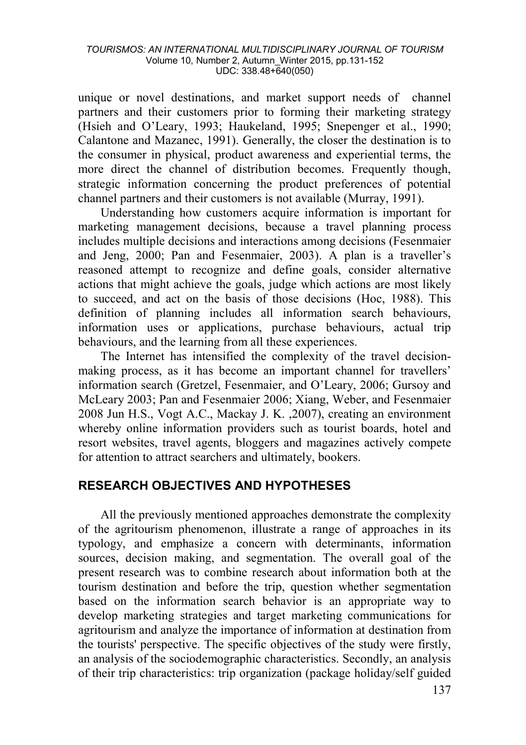unique or novel destinations, and market support needs of channel partners and their customers prior to forming their marketing strategy (Hsieh and O'Leary, 1993; Haukeland, 1995; Snepenger et al., 1990; Calantone and Mazanec, 1991). Generally, the closer the destination is to the consumer in physical, product awareness and experiential terms, the more direct the channel of distribution becomes. Frequently though, strategic information concerning the product preferences of potential channel partners and their customers is not available (Murray, 1991).

Understanding how customers acquire information is important for marketing management decisions, because a travel planning process includes multiple decisions and interactions among decisions (Fesenmaier and Jeng, 2000; Pan and Fesenmaier, 2003). A plan is a traveller's reasoned attempt to recognize and define goals, consider alternative actions that might achieve the goals, judge which actions are most likely to succeed, and act on the basis of those decisions (Hoc, 1988). This definition of planning includes all information search behaviours, information uses or applications, purchase behaviours, actual trip behaviours, and the learning from all these experiences.

The Internet has intensified the complexity of the travel decisionmaking process, as it has become an important channel for travellers' information search (Gretzel, Fesenmaier, and O'Leary, 2006; Gursoy and McLeary 2003; Pan and Fesenmaier 2006; Xiang, Weber, and Fesenmaier 2008 Jun H.S., Vogt A.C., Mackay J. K. ,2007), creating an environment whereby online information providers such as tourist boards, hotel and resort websites, travel agents, bloggers and magazines actively compete for attention to attract searchers and ultimately, bookers.

### **RESEARCH OBJECTIVES AND HYPOTHESES**

All the previously mentioned approaches demonstrate the complexity of the agritourism phenomenon, illustrate a range of approaches in its typology, and emphasize a concern with determinants, information sources, decision making, and segmentation. The overall goal of the present research was to combine research about information both at the tourism destination and before the trip, question whether segmentation based on the information search behavior is an appropriate way to develop marketing strategies and target marketing communications for agritourism and analyze the importance of information at destination from the tourists' perspective. The specific objectives of the study were firstly, an analysis of the sociodemographic characteristics. Secondly, an analysis of their trip characteristics: trip organization (package holiday/self guided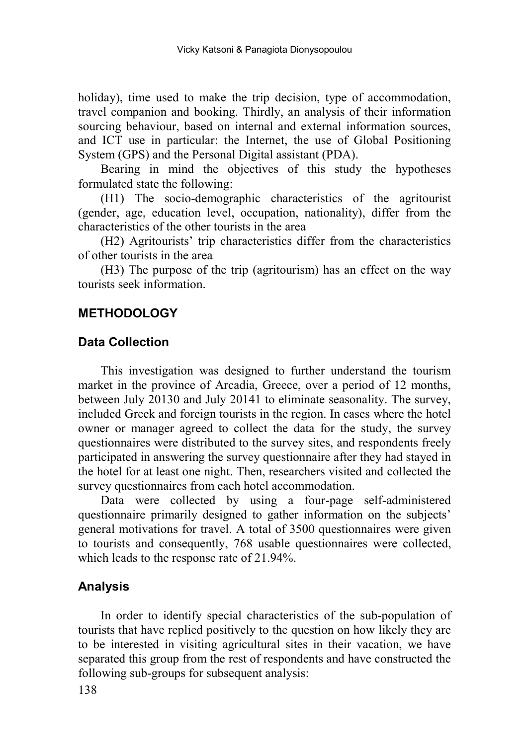holiday), time used to make the trip decision, type of accommodation, travel companion and booking. Thirdly, an analysis of their information sourcing behaviour, based on internal and external information sources, and ICT use in particular: the Internet, the use of Global Positioning System (GPS) and the Personal Digital assistant (PDA).

Bearing in mind the objectives of this study the hypotheses formulated state the following:

(H1) The socio-demographic characteristics of the agritourist (gender, age, education level, occupation, nationality), differ from the characteristics of the other tourists in the area

(H2) Agritourists' trip characteristics differ from the characteristics of other tourists in the area

(H3) The purpose of the trip (agritourism) has an effect on the way tourists seek information.

### **METHODOLOGY**

#### **Data Collection**

This investigation was designed to further understand the tourism market in the province of Arcadia, Greece, over a period of 12 months, between July 20130 and July 20141 to eliminate seasonality. The survey, included Greek and foreign tourists in the region. In cases where the hotel owner or manager agreed to collect the data for the study, the survey questionnaires were distributed to the survey sites, and respondents freely participated in answering the survey questionnaire after they had stayed in the hotel for at least one night. Then, researchers visited and collected the survey questionnaires from each hotel accommodation.

Data were collected by using a four-page self-administered questionnaire primarily designed to gather information on the subjects' general motivations for travel. A total of 3500 questionnaires were given to tourists and consequently, 768 usable questionnaires were collected, which leads to the response rate of 21.94%.

## **Analysis**

In order to identify special characteristics of the sub-population of tourists that have replied positively to the question on how likely they are to be interested in visiting agricultural sites in their vacation, we have separated this group from the rest of respondents and have constructed the following sub-groups for subsequent analysis: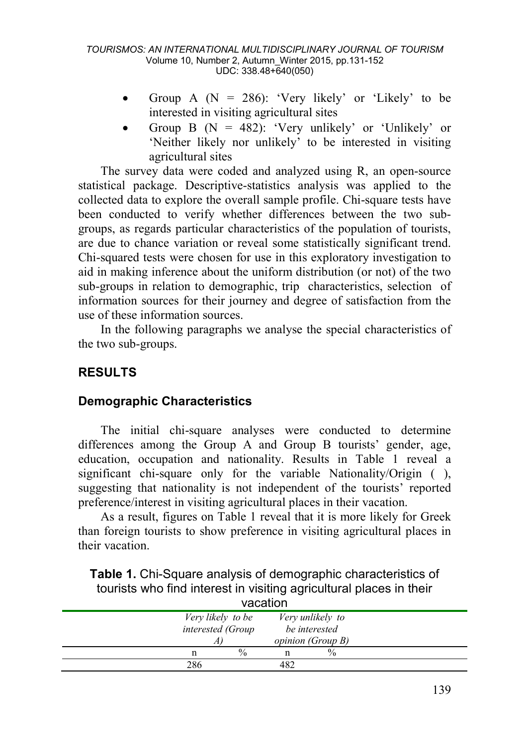- Group A  $(N = 286)$ : 'Very likely' or 'Likely' to be interested in visiting agricultural sites
- Group B ( $N = 482$ ): 'Very unlikely' or 'Unlikely' or 'Neither likely nor unlikely' to be interested in visiting agricultural sites

The survey data were coded and analyzed using R, an open-source statistical package. Descriptive-statistics analysis was applied to the collected data to explore the overall sample profile. Chi-square tests have been conducted to verify whether differences between the two subgroups, as regards particular characteristics of the population of tourists, are due to chance variation or reveal some statistically significant trend. Chi-squared tests were chosen for use in this exploratory investigation to aid in making inference about the uniform distribution (or not) of the two sub-groups in relation to demographic, trip characteristics, selection of information sources for their journey and degree of satisfaction from the use of these information sources.

In the following paragraphs we analyse the special characteristics of the two sub-groups.

## **RESULTS**

### **Demographic Characteristics**

The initial chi-square analyses were conducted to determine differences among the Group A and Group B tourists' gender, age, education, occupation and nationality. Results in Table 1 reveal a significant chi-square only for the variable Nationality/Origin ( ), suggesting that nationality is not independent of the tourists' reported preference/interest in visiting agricultural places in their vacation.

As a result, figures on Table 1 reveal that it is more likely for Greek than foreign tourists to show preference in visiting agricultural places in their vacation.

**Table 1.** Chi-Square analysis of demographic characteristics of tourists who find interest in visiting agricultural places in their vacation

| Very likely to be<br>Very unlikely to<br>be interested<br><i>interested (Group</i><br><i>opinion (Group B)</i> |  |
|----------------------------------------------------------------------------------------------------------------|--|
| $\frac{0}{0}$<br>$\frac{0}{0}$<br>n                                                                            |  |
| 286                                                                                                            |  |

139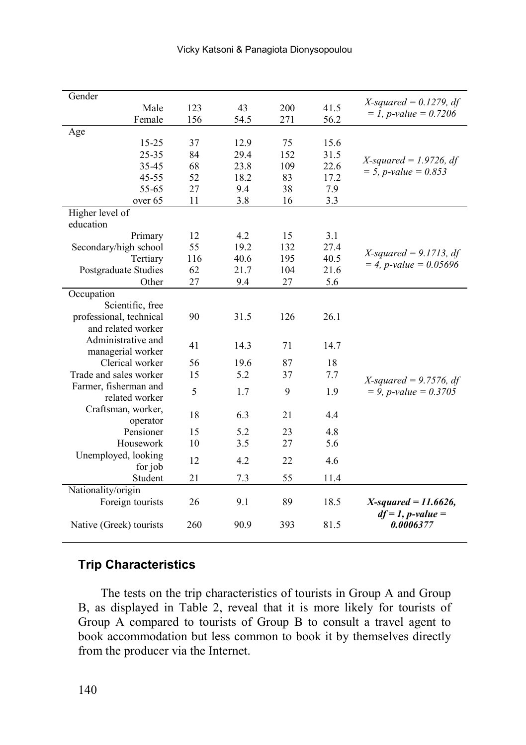| Gender                  |     |      |     |      | $X$ -squared = 0.1279, df           |
|-------------------------|-----|------|-----|------|-------------------------------------|
| Male                    | 123 | 43   | 200 | 41.5 | $= 1$ , <i>p</i> -value $= 0.7206$  |
| Female                  | 156 | 54.5 | 271 | 56.2 |                                     |
| Age                     |     |      |     |      |                                     |
| $15 - 25$               | 37  | 12.9 | 75  | 15.6 |                                     |
| $25 - 35$               | 84  | 29.4 | 152 | 31.5 | $X$ -squared = 1.9726, df           |
| 35-45                   | 68  | 23.8 | 109 | 22.6 | $= 5$ , <i>p</i> -value $= 0.853$   |
| $45 - 55$               | 52  | 18.2 | 83  | 17.2 |                                     |
| 55-65                   | 27  | 9.4  | 38  | 7.9  |                                     |
| over 65                 | 11  | 3.8  | 16  | 3.3  |                                     |
| Higher level of         |     |      |     |      |                                     |
| education               |     |      |     |      |                                     |
| Primary                 | 12  | 4.2  | 15  | 3.1  |                                     |
| Secondary/high school   | 55  | 19.2 | 132 | 27.4 | $X$ -squared = 9.1713, df           |
| Tertiary                | 116 | 40.6 | 195 | 40.5 | $= 4$ , <i>p</i> -value $= 0.05696$ |
| Postgraduate Studies    | 62  | 21.7 | 104 | 21.6 |                                     |
| Other                   | 27  | 9.4  | 27  | 5.6  |                                     |
| Occupation              |     |      |     |      |                                     |
| Scientific, free        |     |      |     |      |                                     |
| professional, technical | 90  | 31.5 | 126 | 26.1 |                                     |
| and related worker      |     |      |     |      |                                     |
| Administrative and      | 41  | 14.3 | 71  | 14.7 |                                     |
| managerial worker       |     |      |     |      |                                     |
| Clerical worker         | 56  | 19.6 | 87  | 18   |                                     |
| Trade and sales worker  | 15  | 5.2  | 37  | 7.7  | $X$ -squared = 9.7576, df           |
| Farmer, fisherman and   | 5   | 1.7  | 9   | 1.9  | $= 9$ , <i>p</i> -value $= 0.3705$  |
| related worker          |     |      |     |      |                                     |
| Craftsman, worker,      | 18  | 6.3  | 21  | 4.4  |                                     |
| operator                |     |      |     |      |                                     |
| Pensioner               | 15  | 5.2  | 23  | 4.8  |                                     |
| Housework               | 10  | 3.5  | 27  | 5.6  |                                     |
| Unemployed, looking     | 12  | 4.2  | 22  | 4.6  |                                     |
| for job                 |     |      |     |      |                                     |
| Student                 | 21  | 7.3  | 55  | 11.4 |                                     |
| Nationality/origin      |     |      |     |      |                                     |
| Foreign tourists        | 26  | 9.1  | 89  | 18.5 | $X$ -squared = 11.6626,             |
|                         |     |      |     |      | $df = 1$ , <i>p</i> -value =        |
| Native (Greek) tourists | 260 | 90.9 | 393 | 81.5 | 0.0006377                           |

### **Trip Characteristics**

The tests on the trip characteristics of tourists in Group A and Group B, as displayed in Table 2, reveal that it is more likely for tourists of Group A compared to tourists of Group B to consult a travel agent to book accommodation but less common to book it by themselves directly from the producer via the Internet.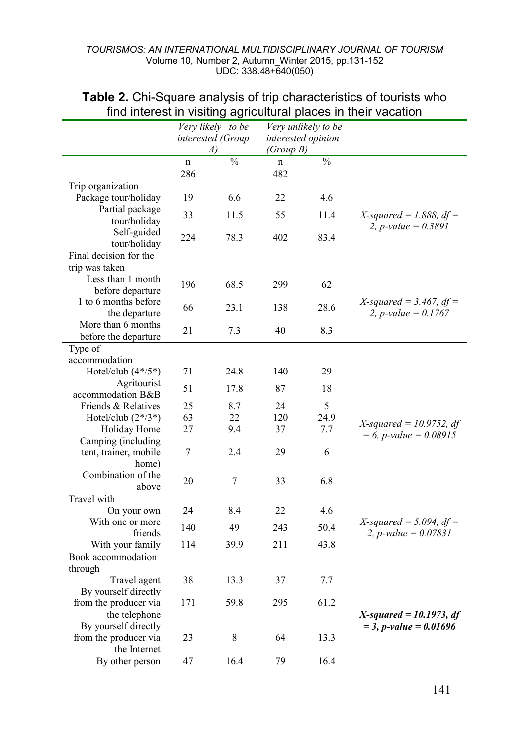|                             | Very likely to be |                   | Very unlikely to be |               |                                     |
|-----------------------------|-------------------|-------------------|---------------------|---------------|-------------------------------------|
|                             |                   | interested (Group | interested opinion  |               |                                     |
|                             |                   | A)                | (Group B)           |               |                                     |
|                             | n                 | $\sqrt{0}$        | $\mathbf n$         | $\frac{0}{0}$ |                                     |
|                             | 286               |                   | 482                 |               |                                     |
| Trip organization           |                   |                   |                     |               |                                     |
| Package tour/holiday        | 19                | 6.6               | 22                  | 4.6           |                                     |
| Partial package             | 33                | 11.5              | 55                  | 11.4          | X-squared = 1.888, $df =$           |
| tour/holiday<br>Self-guided |                   |                   |                     |               | 2, <i>p</i> -value = $0.3891$       |
| tour/holiday                | 224               | 78.3              | 402                 | 83.4          |                                     |
| Final decision for the      |                   |                   |                     |               |                                     |
| trip was taken              |                   |                   |                     |               |                                     |
| Less than 1 month           |                   |                   |                     |               |                                     |
| before departure            | 196               | 68.5              | 299                 | 62            |                                     |
| 1 to 6 months before        |                   |                   |                     |               | X-squared = $3.467$ , df =          |
| the departure               | 66                | 23.1              | 138                 | 28.6          | 2, <i>p</i> -value = $0.1767$       |
| More than 6 months          |                   |                   |                     |               |                                     |
| before the departure        | 21                | 7.3               | 40                  | 8.3           |                                     |
| Type of                     |                   |                   |                     |               |                                     |
| accommodation               |                   |                   |                     |               |                                     |
| Hotel/club $(4*/5*)$        | 71                | 24.8              | 140                 | 29            |                                     |
| Agritourist                 | 51                | 17.8              | 87                  | 18            |                                     |
| accommodation B&B           |                   |                   |                     |               |                                     |
| Friends & Relatives         | 25                | 8.7               | 24                  | 5             |                                     |
| Hotel/club $(2*/3*)$        | 63                | 22                | 120                 | 24.9          | $X$ -squared = 10.9752, df          |
| Holiday Home                | 27                | 9.4               | 37                  | 7.7           | $= 6$ , <i>p</i> -value $= 0.08915$ |
| Camping (including          |                   |                   |                     |               |                                     |
| tent, trainer, mobile       | 7                 | 2.4               | 29                  | 6             |                                     |
| home)                       |                   |                   |                     |               |                                     |
| Combination of the          | 20                | 7                 | 33                  | 6.8           |                                     |
| above<br><b>Travel</b> with |                   |                   |                     |               |                                     |
| On your own                 | 24                | 8.4               | 22                  | 4.6           |                                     |
| With one or more            |                   |                   |                     |               | $X$ -squared = 5.094, df =          |
| friends                     | 140               | 49                | 243                 | 50.4          | 2, <i>p</i> -value = $0.07831$      |
| With your family            | 114               | 39.9              | 211                 | 43.8          |                                     |
| Book accommodation          |                   |                   |                     |               |                                     |
| through                     |                   |                   |                     |               |                                     |
| Travel agent                | 38                | 13.3              | 37                  | 7.7           |                                     |
| By yourself directly        |                   |                   |                     |               |                                     |
| from the producer via       | 171               | 59.8              | 295                 | 61.2          |                                     |
| the telephone               |                   |                   |                     |               | $X$ -squared = 10.1973, df          |
| By yourself directly        |                   |                   |                     |               | $=$ 3, p-value $=$ 0.01696          |
| from the producer via       | 23                | 8                 | 64                  | 13.3          |                                     |
| the Internet                |                   |                   |                     |               |                                     |
| By other person             | 47                | 16.4              | 79                  | 16.4          |                                     |

### **Table 2.** Chi-Square analysis of trip characteristics of tourists who find interest in visiting agricultural places in their vacation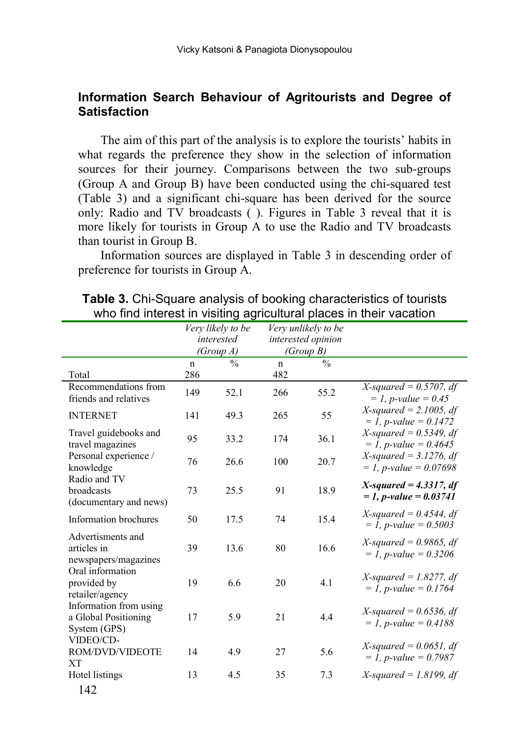### **Information Search Behaviour of Agritourists and Degree of Satisfaction**

The aim of this part of the analysis is to explore the tourists' habits in what regards the preference they show in the selection of information sources for their journey. Comparisons between the two sub-groups (Group A and Group B) have been conducted using the chi-squared test (Table 3) and a significant chi-square has been derived for the source only: Radio and TV broadcasts ( ). Figures in Table 3 reveal that it is more likely for tourists in Group A to use the Radio and TV broadcasts than tourist in Group B.

Information sources are displayed in Table 3 in descending order of preference for tourists in Group A.

|                                                                | Very likely to be<br>Very unlikely to be<br>interested<br>interested opinion<br>(Group A)<br>(Group B) |               |             |               |                                                                 |
|----------------------------------------------------------------|--------------------------------------------------------------------------------------------------------|---------------|-------------|---------------|-----------------------------------------------------------------|
|                                                                | $\mathbf{n}$                                                                                           | $\frac{0}{0}$ | $\mathbf n$ | $\frac{0}{0}$ |                                                                 |
| Total<br>Recommendations from                                  | 286                                                                                                    |               | 482         |               | X-squared = $0.5707$ , df                                       |
| friends and relatives                                          | 149                                                                                                    | 52.1          | 266         | 55.2          | $= 1, p-value = 0.45$                                           |
| <b>INTERNET</b>                                                | 141                                                                                                    | 49.3          | 265         | 55            | $X$ -squared = 2.1005, df<br>$= 1$ , <i>p</i> -value $= 0.1472$ |
| Travel guidebooks and<br>travel magazines                      | 95                                                                                                     | 33.2          | 174         | 36.1          | $X$ -squared = 0.5349, df<br>$= 1$ , p-value $= 0.4645$         |
| Personal experience /<br>knowledge                             | 76                                                                                                     | 26.6          | 100         | 20.7          | $X$ -squared = 3.1276, df<br>$= 1$ , p-value $= 0.07698$        |
| Radio and TV<br>broadcasts<br>(documentary and news)           | 73                                                                                                     | 25.5          | 91          | 18.9          | $X$ -squared = 4.3317, df<br>$= 1, p-value = 0.03741$           |
| Information brochures                                          | 50                                                                                                     | 17.5          | 74          | 15.4          | $X$ -squared = 0.4544, df<br>$= 1$ , p-value $= 0.5003$         |
| Advertisments and<br>articles in<br>newspapers/magazines       | 39                                                                                                     | 13.6          | 80          | 16.6          | X-squared = $0.9865$ , df<br>$= 1$ , p-value $= 0.3206$         |
| Oral information<br>provided by<br>retailer/agency             | 19                                                                                                     | 6.6           | 20          | 4.1           | X-squared = 1.8277, df<br>$= 1$ , p-value $= 0.1764$            |
| Information from using<br>a Global Positioning<br>System (GPS) | 17                                                                                                     | 5.9           | 21          | 4.4           | X-squared = $0.6536$ , df<br>$= 1$ , p-value $= 0.4188$         |
| VIDEO/CD-<br>ROM/DVD/VIDEOTE<br>XT                             | 14                                                                                                     | 4.9           | 27          | 5.6           | X-squared = $0.0651$ , df<br>$= 1$ , p-value $= 0.7987$         |
| Hotel listings                                                 | 13                                                                                                     | 4.5           | 35          | 7.3           | $X$ -squared = 1.8199, df                                       |
| 142                                                            |                                                                                                        |               |             |               |                                                                 |

**Table 3.** Chi-Square analysis of booking characteristics of tourists who find interest in visiting agricultural places in their vacation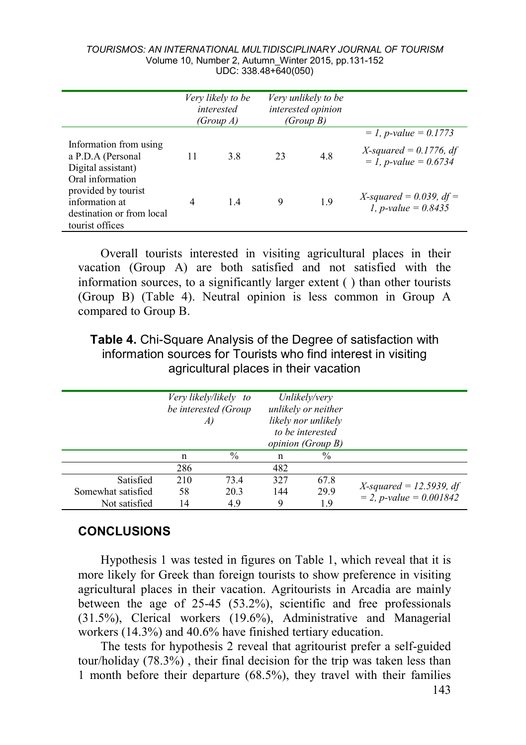|                                                                                       | Very likely to be<br>interested<br><i>(Group A)</i> |     | Very unlikely to be<br>interested opinion<br>(Group B) |     |                                                                 |
|---------------------------------------------------------------------------------------|-----------------------------------------------------|-----|--------------------------------------------------------|-----|-----------------------------------------------------------------|
|                                                                                       |                                                     |     |                                                        |     | $= 1, p-value = 0.1773$                                         |
| Information from using<br>a P.D.A (Personal<br>Digital assistant)<br>Oral information | 11                                                  | 3.8 | 23                                                     | 4.8 | $X$ -squared = 0.1776, df<br>$= 1$ , <i>p</i> -value $= 0.6734$ |
| provided by tourist<br>information at<br>destination or from local<br>tourist offices | 4                                                   | 1.4 | 9                                                      | 1.9 | X-squared = 0.039, df =<br>1, <i>p</i> -value = $0.8435$        |

Overall tourists interested in visiting agricultural places in their vacation (Group A) are both satisfied and not satisfied with the information sources, to a significantly larger extent ( ) than other tourists (Group B) (Table 4). Neutral opinion is less common in Group A compared to Group B.

**Table 4.** Chi-Square Analysis of the Degree of satisfaction with information sources for Tourists who find interest in visiting agricultural places in their vacation

|                    | Very likely/likely to |      | Unlikely/very            |                  |                                     |
|--------------------|-----------------------|------|--------------------------|------------------|-------------------------------------|
|                    | be interested (Group  |      | unlikely or neither      |                  |                                     |
|                    |                       |      | likely nor unlikely      |                  |                                     |
|                    |                       |      |                          | to be interested |                                     |
|                    |                       |      | <i>opinion (Group B)</i> |                  |                                     |
|                    | n                     | $\%$ | n                        | $\frac{0}{0}$    |                                     |
|                    | 286                   |      | 482                      |                  |                                     |
| Satisfied          | 210                   | 73.4 | 327                      | 67.8             |                                     |
| Somewhat satisfied | 58                    | 20.3 | 144                      | 29.9             | $X$ -squared = 12.5939, df          |
| Not satisfied      | 14                    | 4.9  | 9                        | 1.9              | $= 2$ , <i>p-value</i> $= 0.001842$ |

## **CONCLUSIONS**

Hypothesis 1 was tested in figures on Table 1, which reveal that it is more likely for Greek than foreign tourists to show preference in visiting agricultural places in their vacation. Agritourists in Arcadia are mainly between the age of 25-45 (53.2%), scientific and free professionals (31.5%), Clerical workers (19.6%), Administrative and Managerial workers (14.3%) and 40.6% have finished tertiary education.

The tests for hypothesis 2 reveal that agritourist prefer a self-guided tour/holiday (78.3%) , their final decision for the trip was taken less than 1 month before their departure (68.5%), they travel with their families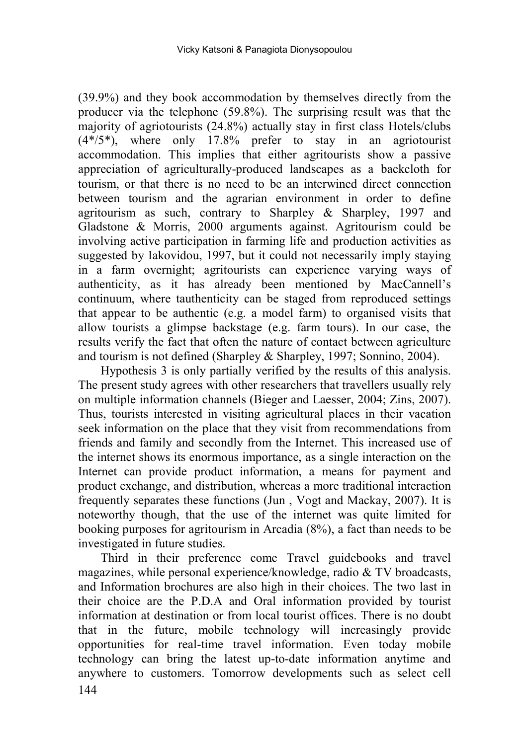(39.9%) and they book accommodation by themselves directly from the producer via the telephone (59.8%). The surprising result was that the majority of agriotourists (24.8%) actually stay in first class Hotels/clubs  $(4*/5*)$ , where only 17.8% prefer to stay in an agriotourist accommodation. This implies that either agritourists show a passive appreciation of agriculturally-produced landscapes as a backcloth for tourism, or that there is no need to be an interwined direct connection between tourism and the agrarian environment in order to define agritourism as such, contrary to Sharpley & Sharpley, 1997 and Gladstone & Morris, 2000 arguments against. Agritourism could be involving active participation in farming life and production activities as suggested by Iakovidou, 1997, but it could not necessarily imply staying in a farm overnight; agritourists can experience varying ways of authenticity, as it has already been mentioned by MacCannell's continuum, where tauthenticity can be staged from reproduced settings that appear to be authentic (e.g. a model farm) to organised visits that allow tourists a glimpse backstage (e.g. farm tours). In our case, the results verify the fact that often the nature of contact between agriculture and tourism is not defined (Sharpley & Sharpley, 1997; Sonnino, 2004).

Hypothesis 3 is only partially verified by the results of this analysis. The present study agrees with other researchers that travellers usually rely on multiple information channels (Bieger and Laesser, 2004; Zins, 2007). Thus, tourists interested in visiting agricultural places in their vacation seek information on the place that they visit from recommendations from friends and family and secondly from the Internet. This increased use of the internet shows its enormous importance, as a single interaction on the Internet can provide product information, a means for payment and product exchange, and distribution, whereas a more traditional interaction frequently separates these functions (Jun , Vogt and Mackay, 2007). It is noteworthy though, that the use of the internet was quite limited for booking purposes for agritourism in Arcadia (8%), a fact than needs to be investigated in future studies.

144 Third in their preference come Travel guidebooks and travel magazines, while personal experience/knowledge, radio & TV broadcasts, and Information brochures are also high in their choices. The two last in their choice are the P.D.A and Oral information provided by tourist information at destination or from local tourist offices. There is no doubt that in the future, mobile technology will increasingly provide opportunities for real-time travel information. Even today mobile technology can bring the latest up-to-date information anytime and anywhere to customers. Tomorrow developments such as select cell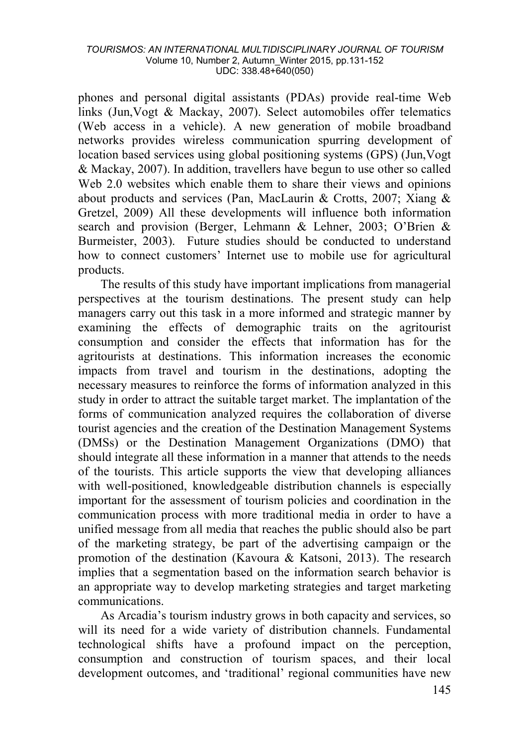phones and personal digital assistants (PDAs) provide real-time Web links (Jun,Vogt & Mackay, 2007). Select automobiles offer telematics (Web access in a vehicle). A new generation of mobile broadband networks provides wireless communication spurring development of location based services using global positioning systems (GPS) (Jun,Vogt & Mackay, 2007). In addition, travellers have begun to use other so called Web 2.0 websites which enable them to share their views and opinions about products and services (Pan, MacLaurin & Crotts, 2007; Xiang & Gretzel, 2009) All these developments will influence both information search and provision (Berger, Lehmann & Lehner, 2003; O'Brien & Burmeister, 2003). Future studies should be conducted to understand how to connect customers' Internet use to mobile use for agricultural products.

The results of this study have important implications from managerial perspectives at the tourism destinations. The present study can help managers carry out this task in a more informed and strategic manner by examining the effects of demographic traits on the agritourist consumption and consider the effects that information has for the agritourists at destinations. This information increases the economic impacts from travel and tourism in the destinations, adopting the necessary measures to reinforce the forms of information analyzed in this study in order to attract the suitable target market. The implantation of the forms of communication analyzed requires the collaboration of diverse tourist agencies and the creation of the Destination Management Systems (DMSs) or the Destination Management Organizations (DMO) that should integrate all these information in a manner that attends to the needs of the tourists. This article supports the view that developing alliances with well-positioned, knowledgeable distribution channels is especially important for the assessment of tourism policies and coordination in the communication process with more traditional media in order to have a unified message from all media that reaches the public should also be part of the marketing strategy, be part of the advertising campaign or the promotion of the destination (Kavoura & Katsoni, 2013). The research implies that a segmentation based on the information search behavior is an appropriate way to develop marketing strategies and target marketing communications.

As Arcadia's tourism industry grows in both capacity and services, so will its need for a wide variety of distribution channels. Fundamental technological shifts have a profound impact on the perception, consumption and construction of tourism spaces, and their local development outcomes, and 'traditional' regional communities have new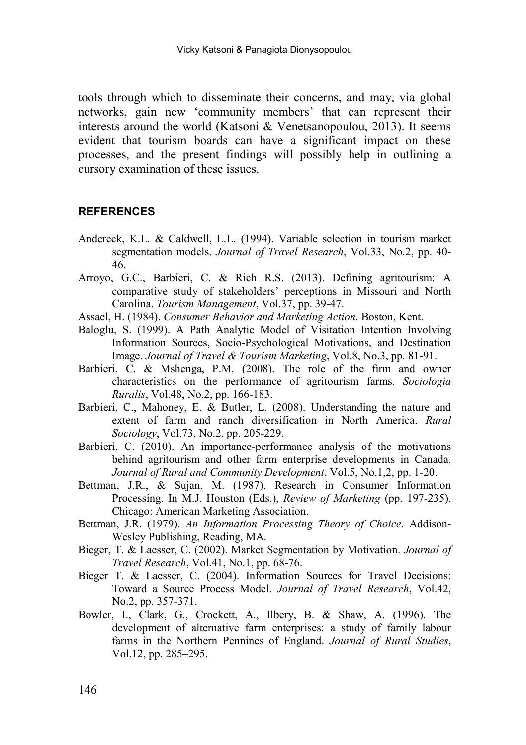tools through which to disseminate their concerns, and may, via global networks, gain new 'community members' that can represent their interests around the world (Katsoni & Venetsanopoulou, 2013). It seems evident that tourism boards can have a significant impact on these processes, and the present findings will possibly help in outlining a cursory examination of these issues.

#### **REFERENCES**

- Andereck, K.L. & Caldwell, L.L. (1994). Variable selection in tourism market segmentation models. *Journal of Travel Research*, Vol.33, No.2, pp. 40- 46.
- Arroyo, G.C., Barbieri, C. & Rich R.S. (2013). Defining agritourism: A comparative study of stakeholders' perceptions in Missouri and North Carolina. *Tourism Management*, Vol.37, pp. 39-47.
- Assael, H. (1984). *Consumer Behavior and Marketing Action*. Boston, Kent.
- Baloglu, S. (1999). A Path Analytic Model of Visitation Intention Involving Information Sources, Socio-Psychological Motivations, and Destination Image. *Journal of Travel & Tourism Marketing*, Vol.8, No.3, pp. 81-91.
- Barbieri, C. & Mshenga, P.M. (2008). The role of the firm and owner characteristics on the performance of agritourism farms. *Sociologia Ruralis*, Vol.48, No.2, pp. 166-183.
- Barbieri, C., Mahoney, E. & Butler, L. (2008). Understanding the nature and extent of farm and ranch diversification in North America. *Rural Sociology*, Vol.73, No.2, pp. 205-229.
- Barbieri, C. (2010). An importance-performance analysis of the motivations behind agritourism and other farm enterprise developments in Canada. *Journal of Rural and Community Development*, Vol.5, No.1,2, pp. 1-20.
- Bettman, J.R., & Sujan, M. (1987). Research in Consumer Information Processing. In M.J. Houston (Eds.), *Review of Marketing* (pp. 197-235). Chicago: American Marketing Association.
- Bettman, J.R. (1979). *An Information Processing Theory of Choice*. Addison-Wesley Publishing, Reading, MA.
- Bieger, T. & Laesser, C. (2002). Market Segmentation by Motivation. *Journal of Travel Research*, Vol.41, No.1, pp. 68-76.
- Bieger T. & Laesser, C. (2004). Information Sources for Travel Decisions: Toward a Source Process Model. *Journal of Travel Research*, Vol.42, No.2, pp. 357-371.
- Bowler, I., Clark, G., Crockett, A., Ilbery, B. & Shaw, A. (1996). The development of alternative farm enterprises: a study of family labour farms in the Northern Pennines of England. *Journal of Rural Studies*, Vol.12, pp. 285–295.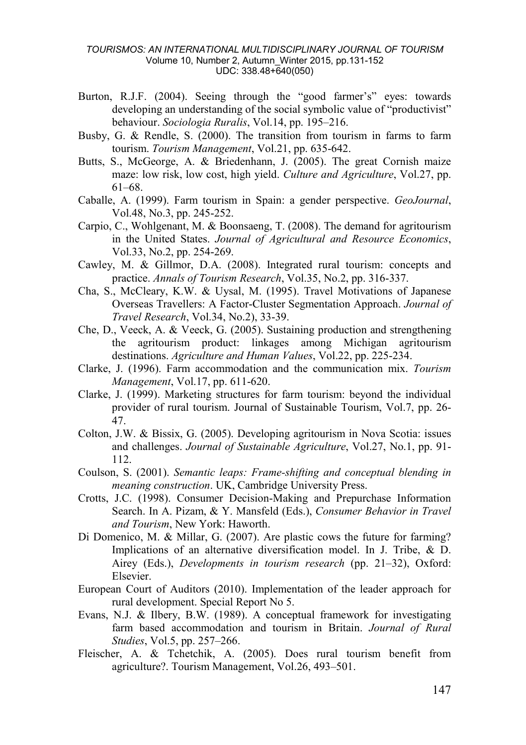- Burton, R.J.F. (2004). Seeing through the "good farmer's" eyes: towards developing an understanding of the social symbolic value of "productivist" behaviour. *Sociologia Ruralis*, Vol.14, pp. 195–216.
- Busby, G. & Rendle, S. (2000). The transition from tourism in farms to farm tourism. *Tourism Management*, Vol.21, pp. 635-642.
- Butts, S., McGeorge, A. & Briedenhann, J. (2005). The great Cornish maize maze: low risk, low cost, high yield. *Culture and Agriculture*, Vol.27, pp. 61–68.
- Caballe, A. (1999). Farm tourism in Spain: a gender perspective. *GeoJournal*, Vol.48, No.3, pp. 245-252.
- Carpio, C., Wohlgenant, M. & Boonsaeng, T. (2008). The demand for agritourism in the United States. *Journal of Agricultural and Resource Economics*, Vol.33, No.2, pp. 254-269.
- Cawley, M. & Gillmor, D.A. (2008). Integrated rural tourism: concepts and practice. *Annals of Tourism Research*, Vol.35, No.2, pp. 316-337.
- Cha, S., McCleary, K.W. & Uysal, M. (1995). Travel Motivations of Japanese Overseas Travellers: A Factor-Cluster Segmentation Approach. *Journal of Travel Research*, Vol.34, No.2), 33-39.
- Che, D., Veeck, A. & Veeck, G. (2005). Sustaining production and strengthening the agritourism product: linkages among Michigan agritourism destinations. *Agriculture and Human Values*, Vol.22, pp. 225-234.
- Clarke, J. (1996). Farm accommodation and the communication mix. *Tourism Management*, Vol.17, pp. 611-620.
- Clarke, J. (1999). Marketing structures for farm tourism: beyond the individual provider of rural tourism. Journal of Sustainable Tourism, Vol.7, pp. 26- 47.
- Colton, J.W. & Bissix, G. (2005). Developing agritourism in Nova Scotia: issues and challenges. *Journal of Sustainable Agriculture*, Vol.27, No.1, pp. 91- 112.
- Coulson, S. (2001). *Semantic leaps: Frame-shifting and conceptual blending in meaning construction*. UK, Cambridge University Press.
- Crotts, J.C. (1998). Consumer Decision-Making and Prepurchase Information Search. In A. Pizam, & Y. Mansfeld (Eds.), *Consumer Behavior in Travel and Tourism*, New York: Haworth.
- Di Domenico, M. & Millar, G. (2007). Are plastic cows the future for farming? Implications of an alternative diversification model. In J. Tribe, & D. Airey (Eds.), *Developments in tourism research* (pp. 21–32), Oxford: Elsevier.
- European Court of Auditors (2010). Implementation of the leader approach for rural development. Special Report No 5.
- Evans, N.J. & Ilbery, B.W. (1989). A conceptual framework for investigating farm based accommodation and tourism in Britain. *Journal of Rural Studies*, Vol.5, pp. 257–266.
- Fleischer, A. & Tchetchik, A. (2005). Does rural tourism benefit from agriculture?. Tourism Management, Vol.26, 493–501.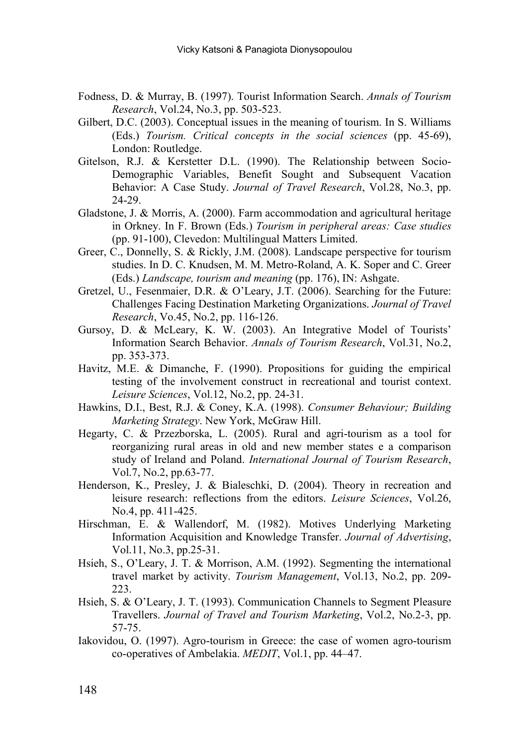- Fodness, D. & Murray, B. (1997). Tourist Information Search. *Annals of Tourism Research*, Vol.24, No.3, pp. 503-523.
- Gilbert, D.C. (2003). Conceptual issues in the meaning of tourism. In S. Williams (Eds.) *Tourism. Critical concepts in the social sciences* (pp. 45-69), London: Routledge.
- Gitelson, R.J. & Kerstetter D.L. (1990). The Relationship between Socio-Demographic Variables, Benefit Sought and Subsequent Vacation Behavior: A Case Study. *Journal of Travel Research*, Vol.28, No.3, pp. 24-29.
- Gladstone, J. & Morris, A. (2000). Farm accommodation and agricultural heritage in Orkney. In F. Brown (Eds.) *Tourism in peripheral areas: Case studies* (pp. 91-100), Clevedon: Multilingual Matters Limited.
- Greer, C., Donnelly, S. & Rickly, J.M. (2008). Landscape perspective for tourism studies. In D. C. Knudsen, M. M. Metro-Roland, A. K. Soper and C. Greer (Eds.) *Landscape, tourism and meaning* (pp. 176), IN: Ashgate.
- Gretzel, U., Fesenmaier, D.R. & O'Leary, J.T. (2006). Searching for the Future: Challenges Facing Destination Marketing Organizations. *Journal of Travel Research*, Vo.45, No.2, pp. 116-126.
- Gursoy, D. & McLeary, K. W. (2003). An Integrative Model of Tourists' Information Search Behavior. *Annals of Tourism Research*, Vol.31, No.2, pp. 353-373.
- Havitz, M.E. & Dimanche, F. (1990). Propositions for guiding the empirical testing of the involvement construct in recreational and tourist context. *Leisure Sciences*, Vol.12, No.2, pp. 24-31.
- Hawkins, D.I., Best, R.J. & Coney, K.A. (1998). *Consumer Behaviour; Building Marketing Strategy*. New York, McGraw Hill.
- Hegarty, C. & Przezborska, L. (2005). Rural and agri-tourism as a tool for reorganizing rural areas in old and new member states e a comparison study of Ireland and Poland. *International Journal of Tourism Research*, Vol.7, No.2, pp.63-77.
- Henderson, K., Presley, J. & Bialeschki, D. (2004). Theory in recreation and leisure research: reflections from the editors. *Leisure Sciences*, Vol.26, No.4, pp. 411-425.
- Hirschman, E. & Wallendorf, M. (1982). Motives Underlying Marketing Information Acquisition and Knowledge Transfer. *Journal of Advertising*, Vol.11, No.3, pp.25-31.
- Hsieh, S., O'Leary, J. T. & Morrison, A.M. (1992). Segmenting the international travel market by activity. *Tourism Management*, Vol.13, No.2, pp. 209- 223.
- Hsieh, S. & O'Leary, J. T. (1993). Communication Channels to Segment Pleasure Travellers. *Journal of Travel and Tourism Marketing*, Vol.2, No.2-3, pp. 57-75.
- Iakovidou, O. (1997). Agro-tourism in Greece: the case of women agro-tourism co-operatives of Ambelakia. *MEDIT*, Vol.1, pp. 44–47.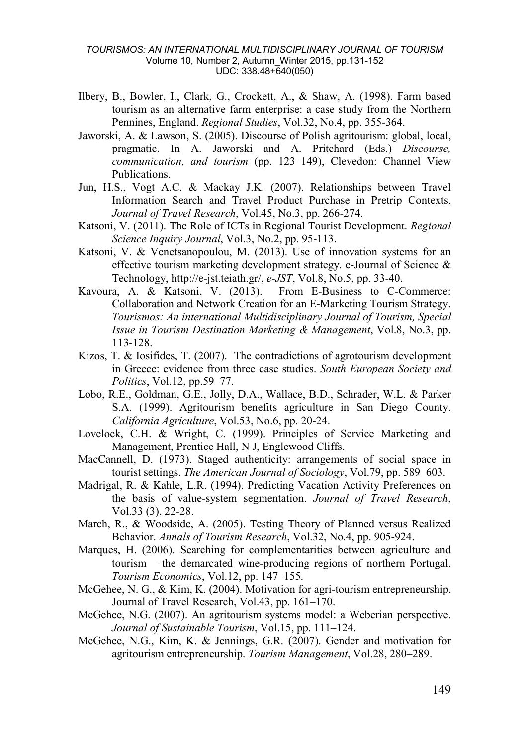- Ilbery, B., Bowler, I., Clark, G., Crockett, A., & Shaw, A. (1998). Farm based tourism as an alternative farm enterprise: a case study from the Northern Pennines, England. *Regional Studies*, Vol.32, No.4, pp. 355-364.
- Jaworski, A. & Lawson, S. (2005). Discourse of Polish agritourism: global, local, pragmatic. In A. Jaworski and A. Pritchard (Eds.) *Discourse, communication, and tourism* (pp. 123–149), Clevedon: Channel View Publications.
- Jun, H.S., Vogt A.C. & Mackay J.K. (2007). Relationships between Travel Information Search and Travel Product Purchase in Pretrip Contexts. *Journal of Travel Research*, Vol.45, No.3, pp. 266-274.
- Katsoni, V. (2011). The Role of ICTs in Regional Tourist Development. *Regional Science Inquiry Journal*, Vol.3, No.2, pp. 95-113.
- Katsoni, V. & Venetsanopoulou, M. (2013). Use of innovation systems for an effective tourism marketing development strategy. e-Journal of Science & Technology, http://e-jst.teiath.gr/, *e-JST*, Vol.8, No.5, pp. 33-40.
- Kavoura, A. & Katsoni, V. (2013). From E-Business to C-Commerce: Collaboration and Network Creation for an E-Marketing Tourism Strategy. *Tourismos: An international Multidisciplinary Journal of Tourism, Special Issue in Tourism Destination Marketing & Management*, Vol.8, No.3, pp. 113-128.
- Kizos, T. & Iosifides, T. (2007). The contradictions of agrotourism development in Greece: evidence from three case studies. *South European Society and Politics*, Vol.12, pp.59–77.
- Lobo, R.E., Goldman, G.E., Jolly, D.A., Wallace, B.D., Schrader, W.L. & Parker S.A. (1999). Agritourism benefits agriculture in San Diego County. *California Agriculture*, Vol.53, No.6, pp. 20-24.
- Lovelock, C.H. & Wright, C. (1999). Principles of Service Marketing and Management, Prentice Hall, N J, Englewood Cliffs.
- MacCannell, D. (1973). Staged authenticity: arrangements of social space in tourist settings. *The American Journal of Sociology*, Vol.79, pp. 589–603.
- Madrigal, R. & Kahle, L.R. (1994). Predicting Vacation Activity Preferences on the basis of value-system segmentation. *Journal of Travel Research*, Vol.33 (3), 22-28.
- March, R., & Woodside, A. (2005). Testing Theory of Planned versus Realized Behavior. *Annals of Tourism Research*, Vol.32, No.4, pp. 905-924.
- Marques, H. (2006). Searching for complementarities between agriculture and tourism – the demarcated wine-producing regions of northern Portugal. *Tourism Economics*, Vol.12, pp. 147–155.
- McGehee, N. G., & Kim, K. (2004). Motivation for agri-tourism entrepreneurship. Journal of Travel Research, Vol.43, pp. 161–170.
- McGehee, N.G. (2007). An agritourism systems model: a Weberian perspective. *Journal of Sustainable Tourism*, Vol.15, pp. 111–124.
- McGehee, N.G., Kim, K. & Jennings, G.R. (2007). Gender and motivation for agritourism entrepreneurship. *Tourism Management*, Vol.28, 280–289.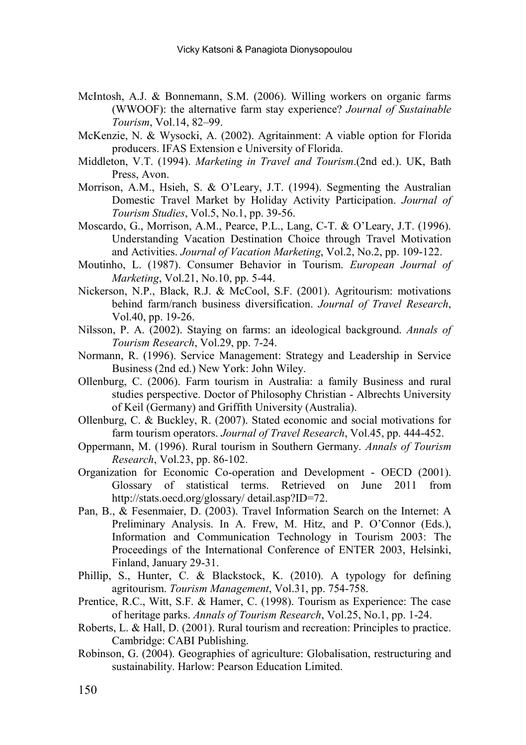- McIntosh, A.J. & Bonnemann, S.M. (2006). Willing workers on organic farms (WWOOF): the alternative farm stay experience? *Journal of Sustainable Tourism*, Vol.14, 82–99.
- McKenzie, N. & Wysocki, A. (2002). Agritainment: A viable option for Florida producers. IFAS Extension e University of Florida.
- Middleton, V.T. (1994). *Marketing in Travel and Tourism*.(2nd ed.). UK, Bath Press, Avon.
- Morrison, A.M., Hsieh, S. & O'Leary, J.T. (1994). Segmenting the Australian Domestic Travel Market by Holiday Activity Participation. *Journal of Tourism Studies*, Vol.5, No.1, pp. 39-56.
- Moscardo, G., Morrison, A.M., Pearce, P.L., Lang, C-T. & O'Leary, J.T. (1996). Understanding Vacation Destination Choice through Travel Motivation and Activities. *Journal of Vacation Marketing*, Vol.2, No.2, pp. 109-122.
- Moutinho, L. (1987). Consumer Behavior in Tourism. *European Journal of Marketing*, Vol.21, No.10, pp. 5-44.
- Nickerson, N.P., Black, R.J. & McCool, S.F. (2001). Agritourism: motivations behind farm/ranch business diversification. *Journal of Travel Research*, Vol.40, pp. 19-26.
- Nilsson, P. A. (2002). Staying on farms: an ideological background. *Annals of Tourism Research*, Vol.29, pp. 7-24.
- Normann, R. (1996). Service Management: Strategy and Leadership in Service Business (2nd ed.) New York: John Wiley.
- Ollenburg, C. (2006). Farm tourism in Australia: a family Business and rural studies perspective. Doctor of Philosophy Christian - Albrechts University of Keil (Germany) and Griffith University (Australia).
- Ollenburg, C. & Buckley, R. (2007). Stated economic and social motivations for farm tourism operators. *Journal of Travel Research*, Vol.45, pp. 444-452.
- Oppermann, M. (1996). Rural tourism in Southern Germany. *Annals of Tourism Research*, Vol.23, pp. 86-102.
- Organization for Economic Co-operation and Development OECD (2001). Glossary of statistical terms. Retrieved on June 2011 from http://stats.oecd.org/glossary/ detail.asp?ID=72.
- Pan, B., & Fesenmaier, D. (2003). Travel Information Search on the Internet: A Preliminary Analysis. In A. Frew, M. Hitz, and P. O'Connor (Eds.), Information and Communication Technology in Tourism 2003: The Proceedings of the International Conference of ENTER 2003, Helsinki, Finland, January 29-31.
- Phillip, S., Hunter, C. & Blackstock, K. (2010). A typology for defining agritourism. *Tourism Management*, Vol.31, pp. 754-758.
- Prentice, R.C., Witt, S.F. & Hamer, C. (1998). Tourism as Experience: The case of heritage parks. *Annals of Tourism Research*, Vol.25, No.1, pp. 1-24.
- Roberts, L. & Hall, D. (2001). Rural tourism and recreation: Principles to practice. Cambridge: CABI Publishing.
- Robinson, G. (2004). Geographies of agriculture: Globalisation, restructuring and sustainability. Harlow: Pearson Education Limited.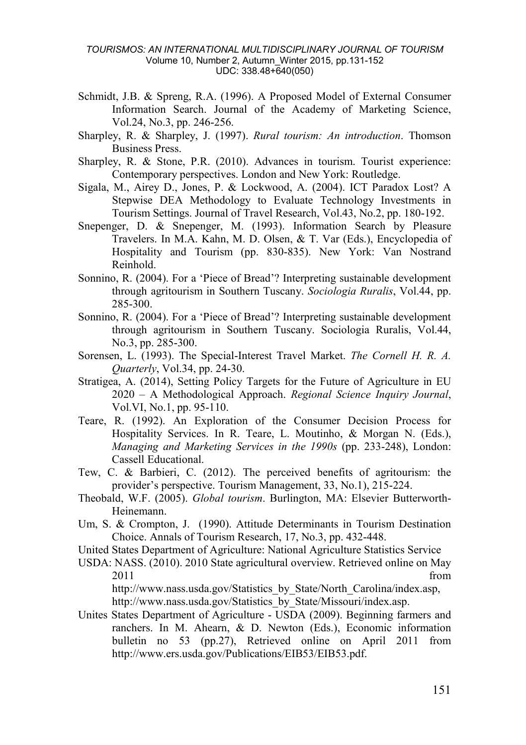- Schmidt, J.B. & Spreng, R.A. (1996). A Proposed Model of External Consumer Information Search. Journal of the Academy of Marketing Science, Vol.24, No.3, pp. 246-256.
- Sharpley, R. & Sharpley, J. (1997). *Rural tourism: An introduction*. Thomson Business Press.
- Sharpley, R. & Stone, P.R. (2010). Advances in tourism. Tourist experience: Contemporary perspectives. London and New York: Routledge.
- Sigala, M., Airey D., Jones, P. & Lockwood, A. (2004). ICT Paradox Lost? A Stepwise DEA Methodology to Evaluate Technology Investments in Tourism Settings. Journal of Travel Research, Vol.43, No.2, pp. 180-192.
- Snepenger, D. & Snepenger, M. (1993). Information Search by Pleasure Travelers. In M.A. Kahn, M. D. Olsen, & T. Var (Eds.), Encyclopedia of Hospitality and Tourism (pp. 830-835). New York: Van Nostrand Reinhold.
- Sonnino, R. (2004). For a 'Piece of Bread'? Interpreting sustainable development through agritourism in Southern Tuscany. *Sociologia Ruralis*, Vol.44, pp. 285-300.
- Sonnino, R. (2004). For a 'Piece of Bread'? Interpreting sustainable development through agritourism in Southern Tuscany. Sociologia Ruralis, Vol.44, No.3, pp. 285-300.
- Sorensen, L. (1993). The Special-Interest Travel Market. *The Cornell H. R. A. Quarterly*, Vol.34, pp. 24-30.
- Stratigea, A. (2014), Setting Policy Targets for the Future of Agriculture in EU 2020 – A Methodological Approach. *Regional Science Inquiry Journal*, Vol.VI, No.1, pp. 95-110.
- Teare, R. (1992). An Exploration of the Consumer Decision Process for Hospitality Services. In R. Teare, L. Moutinho, & Morgan N. (Eds.), *Managing and Marketing Services in the 1990s* (pp. 233-248), London: Cassell Educational.
- Tew, C. & Barbieri, C. (2012). The perceived benefits of agritourism: the provider's perspective. Tourism Management, 33, No.1), 215-224.
- Theobald, W.F. (2005). *Global tourism*. Burlington, MA: Elsevier Butterworth-Heinemann.
- Um, S. & Crompton, J. (1990). Attitude Determinants in Tourism Destination Choice. Annals of Tourism Research, 17, No.3, pp. 432-448.
- United States Department of Agriculture: National Agriculture Statistics Service
- USDA: NASS. (2010). 2010 State agricultural overview. Retrieved online on May 2011 from http://www.nass.usda.gov/Statistics\_by\_State/North\_Carolina/index.asp, http://www.nass.usda.gov/Statistics\_by\_State/Missouri/index.asp.
- Unites States Department of Agriculture USDA (2009). Beginning farmers and ranchers. In M. Ahearn, & D. Newton (Eds.), Economic information bulletin no 53 (pp.27), Retrieved online on April 2011 from http://www.ers.usda.gov/Publications/EIB53/EIB53.pdf.